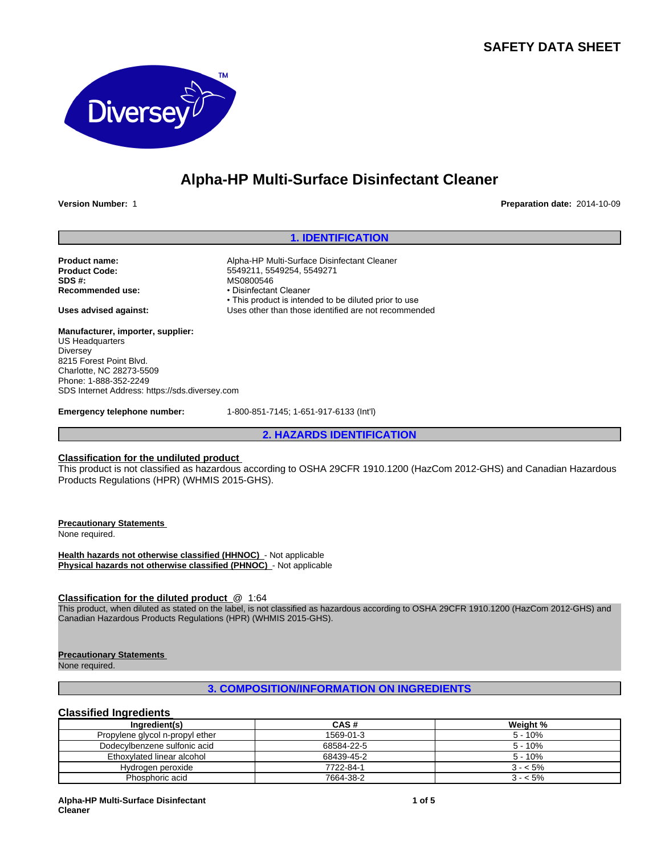## **SAFETY DATA SHEET**



## **Alpha-HP Multi-Surface Disinfectant Cleaner**

**Version Number:** 1 **Preparation date:** 2014-10-09

## **1. IDENTIFICATION**

• This product is intended to be diluted prior to use

**Product name:** Alpha-HP Multi-Surface Disinfectant Cleaner<br> **Product Code:** 6549211, 5549254, 5549271 **SDS #:** MS0800546<br> **Recommended use:** Manual Muse Policinfectan

**Uses advised against:** Uses other than those identified are not recommended

**Manufacturer, importer, supplier:** US Headquarters **Diversey** 8215 Forest Point Blvd. Charlotte, NC 28273-5509 Phone: 1-888-352-2249 SDS Internet Address: https://sds.diversey.com

**Emergency telephone number:** 1-800-851-7145; 1-651-917-6133 (Int'l)

**Product Code:** 5549211, 5549254, 5549271

• Disinfectant Cleaner

**2. HAZARDS IDENTIFICATION**

## **Classification for the undiluted product**

This product is not classified as hazardous according to OSHA 29CFR 1910.1200 (HazCom 2012-GHS) and Canadian Hazardous Products Regulations (HPR) (WHMIS 2015-GHS).

**Precautionary Statements** 

None required.

**Health hazards not otherwise classified (HHNOC)** - Not applicable **Physical hazards not otherwise classified (PHNOC)** - Not applicable

#### **Classification for the diluted product** @ 1:64

This product, when diluted as stated on the label, is not classified as hazardous according to OSHA 29CFR 1910.1200 (HazCom 2012-GHS) and Canadian Hazardous Products Regulations (HPR) (WHMIS 2015-GHS).

#### **Precautionary Statements**

None required.

## **3. COMPOSITION/INFORMATION ON INGREDIENTS**

## **Classified Ingredients**

| Ingredient(s)                   | CAS#       | Weight %  |  |
|---------------------------------|------------|-----------|--|
| Propylene glycol n-propyl ether | 1569-01-3  | $5 - 10%$ |  |
| Dodecylbenzene sulfonic acid    | 68584-22-5 | $5 - 10%$ |  |
| Ethoxylated linear alcohol      | 68439-45-2 | $5 - 10%$ |  |
| Hydrogen peroxide               | 7722-84-1  | $3 - 5\%$ |  |
| Phosphoric acid                 | 7664-38-2  | $3 - 5\%$ |  |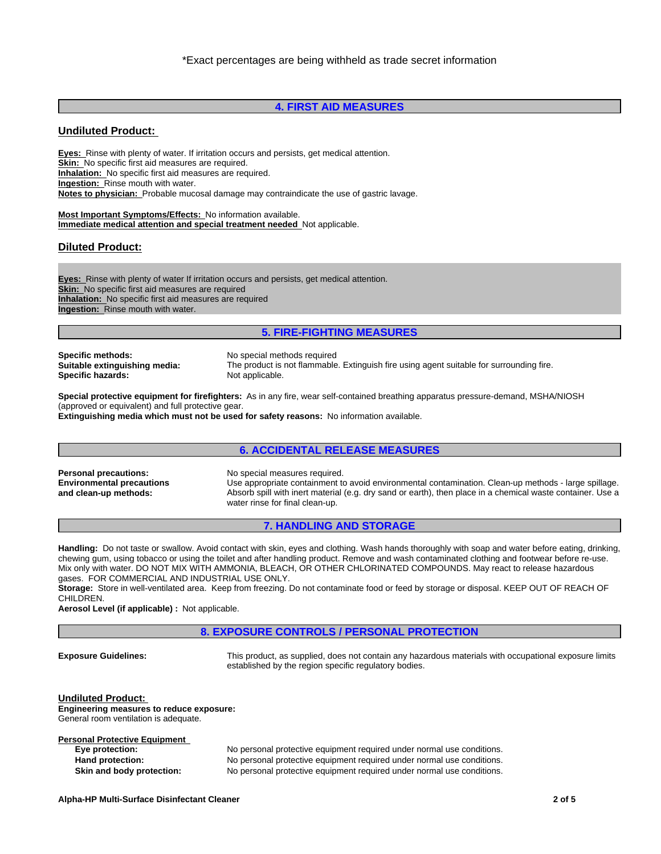## **4. FIRST AID MEASURES**

## **Undiluted Product:**

**Eyes:** Rinse with plenty of water. If irritation occurs and persists, get medical attention. **Skin:** No specific first aid measures are required. **Inhalation:** No specific first aid measures are required. **Ingestion:** Rinse mouth with water. **Notes to physician:** Probable mucosal damage may contraindicate the use of gastric lavage.

**Most Important Symptoms/Effects:** No information available. **Immediate medical attention and special treatment needed** Not applicable.

#### **Diluted Product:**

**Eyes:** Rinse with plenty of water If irritation occurs and persists, get medical attention. **Skin:** No specific first aid measures are required **Inhalation:** No specific first aid measures are required **Ingestion:** Rinse mouth with water.

## **5. FIRE-FIGHTING MEASURES**

**Specific methods:** No special methods required **Specific hazards:** Not applicable.

**Suitable extinguishing media:** The product is not flammable. Extinguish fire using agent suitable for surrounding fire.

**Special protective equipment for firefighters:** As in any fire, wear self-contained breathing apparatus pressure-demand, MSHA/NIOSH (approved or equivalent) and full protective gear.

**Extinguishing media which must not be used for safety reasons:** No information available.

## **6. ACCIDENTAL RELEASE MEASURES**

**Environmental precautions and clean-up methods:**

**Personal precautions:** No special measures required. Use appropriate containment to avoid environmental contamination. Clean-up methods - large spillage. Absorb spill with inert material (e.g. dry sand or earth), then place in a chemical waste container. Use a water rinse for final clean-up.

#### **7. HANDLING AND STORAGE**

**Handling:** Do not taste or swallow. Avoid contact with skin, eyes and clothing. Wash hands thoroughly with soap and water before eating, drinking, chewing gum, using tobacco or using the toilet and after handling product. Remove and wash contaminated clothing and footwear before re-use. Mix only with water. DO NOT MIX WITH AMMONIA, BLEACH, OR OTHER CHLORINATED COMPOUNDS. May react to release hazardous gases. FOR COMMERCIAL AND INDUSTRIAL USE ONLY.

**Storage:** Store in well-ventilated area. Keep from freezing. Do not contaminate food or feed by storage or disposal. KEEP OUT OF REACH OF CHILDREN.

**Aerosol Level (if applicable) :** Not applicable.

**8. EXPOSURE CONTROLS / PERSONAL PROTECTION**

**Exposure Guidelines:** This product, as supplied, does not contain any hazardous materials with occupational exposure limits established by the region specific regulatory bodies.

**Undiluted Product: Engineering measures to reduce exposure:** General room ventilation is adequate.

**Personal Protective Equipment**<br> **Eye protection:** 

No personal protective equipment required under normal use conditions. **Hand protection:** No personal protective equipment required under normal use conditions. **Skin and body protection:** No personal protective equipment required under normal use conditions.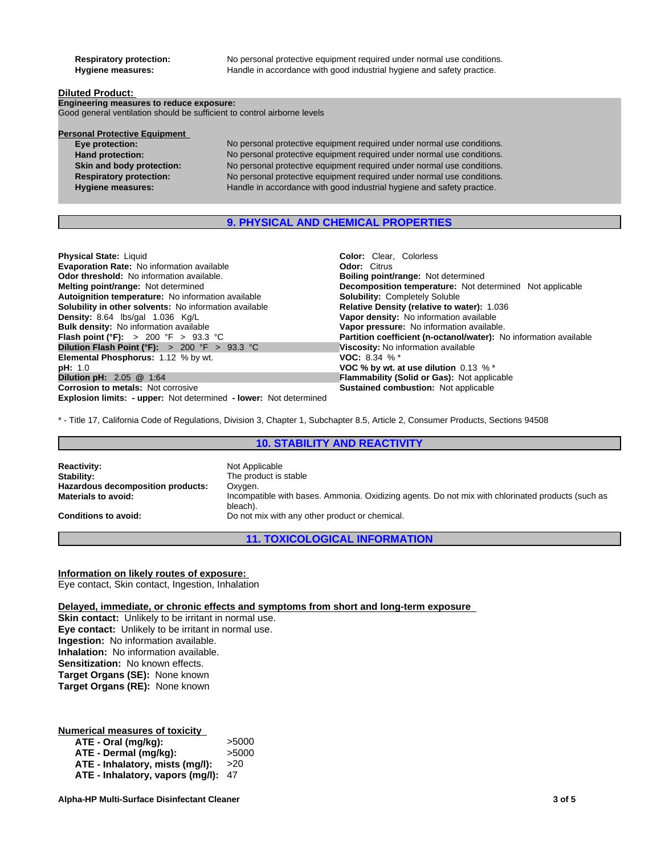**Respiratory protection:** No personal protective equipment required under normal use conditions. **Hygiene measures:** Handle in accordance with good industrial hygiene and safety practice.

#### **Diluted Product:**

**Engineering measures to reduce exposure:** Good general ventilation should be sufficient to control airborne levels

# **Personal Protective Equipment**<br>Eye protection:

**Eye protection:** No personal protective equipment required under normal use conditions.<br> **Hand protection:** No personal protective equipment required under normal use conditions. **Hand protection:** No personal protective equipment required under normal use conditions.<br> **Skin and body protection:** No personal protective equipment required under normal use conditions. No personal protective equipment required under normal use conditions. **Respiratory protection:** No personal protective equipment required under normal use conditions. **Hygiene measures:** Handle in accordance with good industrial hygiene and safety practice.

## **9. PHYSICAL AND CHEMICAL PROPERTIES**

| <b>Physical State: Liquid</b>                                            | <b>Color:</b> Clear. Colorless                                           |
|--------------------------------------------------------------------------|--------------------------------------------------------------------------|
| <b>Evaporation Rate: No information available</b>                        | <b>Odor: Citrus</b>                                                      |
| <b>Odor threshold:</b> No information available.                         | <b>Boiling point/range: Not determined</b>                               |
| <b>Melting point/range: Not determined</b>                               | <b>Decomposition temperature:</b> Not determined Not applicable          |
| Autoignition temperature: No information available                       | <b>Solubility: Completely Soluble</b>                                    |
| <b>Solubility in other solvents:</b> No information available            | Relative Density (relative to water): 1.036                              |
| Density: 8.64 lbs/gal 1.036 Kg/L                                         | Vapor density: No information available                                  |
| <b>Bulk density:</b> No information available                            | Vapor pressure: No information available.                                |
| <b>Flash point (°F):</b> > 200 °F > 93.3 °C                              | <b>Partition coefficient (n-octanol/water):</b> No information available |
| Dilution Flash Point (°F): > 200 °F > 93.3 °C                            | Viscosity: No information available                                      |
| Elemental Phosphorus: 1.12 % by wt.                                      | <b>VOC:</b> 8.34 % $*$                                                   |
| pH: 1.0                                                                  | VOC % by wt. at use dilution $0.13 \%$ *                                 |
| <b>Dilution pH: 2.05 @ 1:64</b>                                          | <b>Flammability (Solid or Gas): Not applicable</b>                       |
| <b>Corrosion to metals: Not corrosive</b>                                | <b>Sustained combustion: Not applicable</b>                              |
| <b>Explosion limits: - upper:</b> Not determined - lower: Not determined |                                                                          |

\* - Title 17, California Code of Regulations, Division 3, Chapter 1, Subchapter 8.5, Article 2, Consumer Products, Sections 94508

#### **10. STABILITY AND REACTIVITY**

| Not Applicable                                                                                    |
|---------------------------------------------------------------------------------------------------|
| The product is stable                                                                             |
| Oxygen.                                                                                           |
| Incompatible with bases. Ammonia. Oxidizing agents. Do not mix with chlorinated products (such as |
| bleach).                                                                                          |
| Do not mix with any other product or chemical.                                                    |
|                                                                                                   |

**11. TOXICOLOGICAL INFORMATION**

#### **Information on likely routes of exposure:**

Eye contact, Skin contact, Ingestion, Inhalation

#### **Delayed, immediate, or chronic effects and symptoms from short and long-term exposure**

**Skin contact:** Unlikely to be irritant in normal use. **Eye contact:** Unlikely to be irritant in normal use. **Ingestion:** No information available. **Inhalation:** No information available. **Sensitization:** No known effects. **Target Organs (SE):** None known **Target Organs (RE):** None known

#### **Numerical measures of toxicity**

| ATE - Oral (mg/kg):                 | >5000 |
|-------------------------------------|-------|
| ATE - Dermal (mq/kq):               | >5000 |
| ATE - Inhalatory, mists (mq/l):     | >20   |
| ATE - Inhalatory, vapors (mg/l): 47 |       |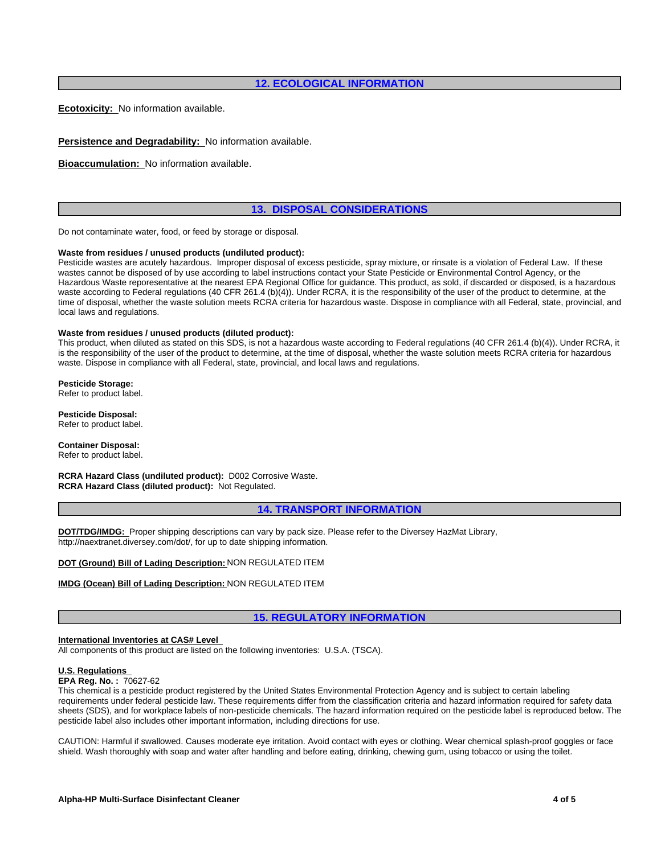## **12. ECOLOGICAL INFORMATION**

**Ecotoxicity:** No information available.

**Persistence and Degradability:** No information available.

**Bioaccumulation:** No information available.

## **13. DISPOSAL CONSIDERATIONS**

Do not contaminate water, food, or feed by storage or disposal.

#### **Waste from residues / unused products (undiluted product):**

Pesticide wastes are acutely hazardous. Improper disposal of excess pesticide, spray mixture, or rinsate is a violation of Federal Law. If these wastes cannot be disposed of by use according to label instructions contact your State Pesticide or Environmental Control Agency, or the Hazardous Waste reporesentative at the nearest EPA Regional Office for guidance. This product, as sold, if discarded or disposed, is a hazardous waste according to Federal regulations (40 CFR 261.4 (b)(4)). Under RCRA, it is the responsibility of the user of the product to determine, at the time of disposal, whether the waste solution meets RCRA criteria for hazardous waste. Dispose in compliance with all Federal, state, provincial, and local laws and regulations.

#### **Waste from residues / unused products (diluted product):**

This product, when diluted as stated on this SDS, is not a hazardous waste according to Federal regulations (40 CFR 261.4 (b)(4)). Under RCRA, it is the responsibility of the user of the product to determine, at the time of disposal, whether the waste solution meets RCRA criteria for hazardous waste. Dispose in compliance with all Federal, state, provincial, and local laws and regulations.

**Pesticide Storage:** Refer to product label.

**Pesticide Disposal:** Refer to product label.

**Container Disposal:** Refer to product label.

**RCRA Hazard Class (undiluted product):** D002 Corrosive Waste. **RCRA Hazard Class (diluted product):** Not Regulated.

#### **14. TRANSPORT INFORMATION**

**DOT/TDG/IMDG:** Proper shipping descriptions can vary by pack size. Please refer to the Diversey HazMat Library, http://naextranet.diversey.com/dot/, for up to date shipping information.

**DOT (Ground) Bill of Lading Description:** NON REGULATED ITEM

#### **IMDG (Ocean) Bill of Lading Description:** NON REGULATED ITEM

## **15. REGULATORY INFORMATION**

#### **International Inventories at CAS# Level**

All components of this product are listed on the following inventories: U.S.A. (TSCA).

## **U.S. Regulations**

## **EPA Reg. No. :** 70627-62

This chemical is a pesticide product registered by the United States Environmental Protection Agency and is subject to certain labeling requirements under federal pesticide law. These requirements differ from the classification criteria and hazard information required for safety data sheets (SDS), and for workplace labels of non-pesticide chemicals. The hazard information required on the pesticide label is reproduced below. The pesticide label also includes other important information, including directions for use.

CAUTION: Harmful if swallowed. Causes moderate eye irritation. Avoid contact with eyes or clothing. Wear chemical splash-proof goggles or face shield. Wash thoroughly with soap and water after handling and before eating, drinking, chewing gum, using tobacco or using the toilet.